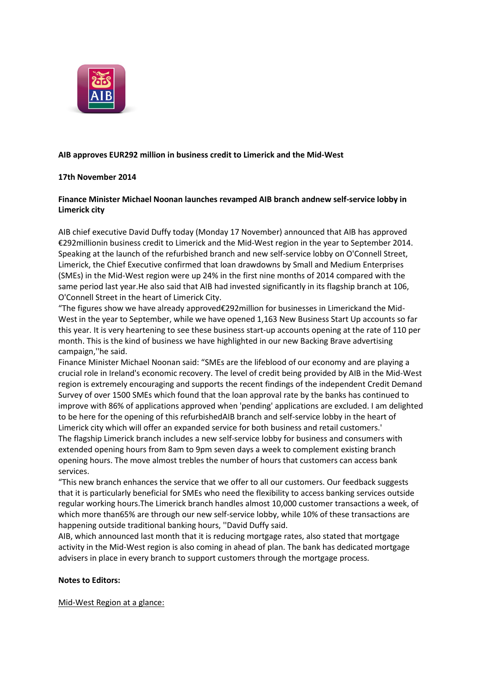

## **AIB approves EUR292 million in business credit to Limerick and the Mid-West**

### **17th November 2014**

## **Finance Minister Michael Noonan launches revamped AIB branch andnew self-service lobby in Limerick city**

AIB chief executive David Duffy today (Monday 17 November) announced that AIB has approved €292millionin business credit to Limerick and the Mid-West region in the year to September 2014. Speaking at the launch of the refurbished branch and new self-service lobby on O'Connell Street, Limerick, the Chief Executive confirmed that loan drawdowns by Small and Medium Enterprises (SMEs) in the Mid-West region were up 24% in the first nine months of 2014 compared with the same period last year.He also said that AIB had invested significantly in its flagship branch at 106, O'Connell Street in the heart of Limerick City.

"The figures show we have already approved€292million for businesses in Limerickand the Mid-West in the year to September, while we have opened 1,163 New Business Start Up accounts so far this year. It is very heartening to see these business start-up accounts opening at the rate of 110 per month. This is the kind of business we have highlighted in our new Backing Brave advertising campaign,''he said.

Finance Minister Michael Noonan said: "SMEs are the lifeblood of our economy and are playing a crucial role in Ireland's economic recovery. The level of credit being provided by AIB in the Mid-West region is extremely encouraging and supports the recent findings of the independent Credit Demand Survey of over 1500 SMEs which found that the loan approval rate by the banks has continued to improve with 86% of applications approved when 'pending' applications are excluded. I am delighted to be here for the opening of this refurbishedAIB branch and self-service lobby in the heart of Limerick city which will offer an expanded service for both business and retail customers.' The flagship Limerick branch includes a new self-service lobby for business and consumers with extended opening hours from 8am to 9pm seven days a week to complement existing branch opening hours. The move almost trebles the number of hours that customers can access bank services.

"This new branch enhances the service that we offer to all our customers. Our feedback suggests that it is particularly beneficial for SMEs who need the flexibility to access banking services outside regular working hours.The Limerick branch handles almost 10,000 customer transactions a week, of which more than65% are through our new self-service lobby, while 10% of these transactions are happening outside traditional banking hours, ''David Duffy said.

AIB, which announced last month that it is reducing mortgage rates, also stated that mortgage activity in the Mid-West region is also coming in ahead of plan. The bank has dedicated mortgage advisers in place in every branch to support customers through the mortgage process.

### **Notes to Editors:**

Mid-West Region at a glance: